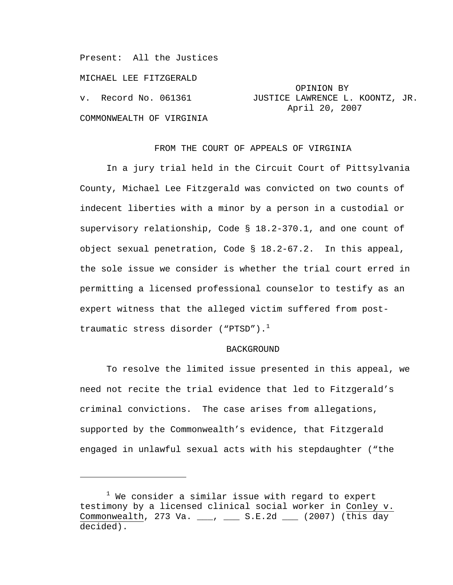Present: All the Justices

MICHAEL LEE FITZGERALD

COMMONWEALTH OF VIRGINIA

i<br>Li

 OPINION BY v. Record No. 061361 JUSTICE LAWRENCE L. KOONTZ, JR. April 20, 2007

# FROM THE COURT OF APPEALS OF VIRGINIA

 In a jury trial held in the Circuit Court of Pittsylvania County, Michael Lee Fitzgerald was convicted on two counts of indecent liberties with a minor by a person in a custodial or supervisory relationship, Code § 18.2-370.1, and one count of object sexual penetration, Code § 18.2-67.2. In this appeal, the sole issue we consider is whether the trial court erred in permitting a licensed professional counselor to testify as an expert witness that the alleged victim suffered from posttraumatic stress disorder ("PTSD"). $<sup>1</sup>$ </sup>

### BACKGROUND

 To resolve the limited issue presented in this appeal, we need not recite the trial evidence that led to Fitzgerald's criminal convictions. The case arises from allegations, supported by the Commonwealth's evidence, that Fitzgerald engaged in unlawful sexual acts with his stepdaughter ("the

 $^1$  We consider a similar issue with regard to expert testimony by a licensed clinical social worker in Conley v. Commonwealth, 273 Va. \_\_\_, \_\_\_ S.E.2d \_\_\_ (2007) (this day decided).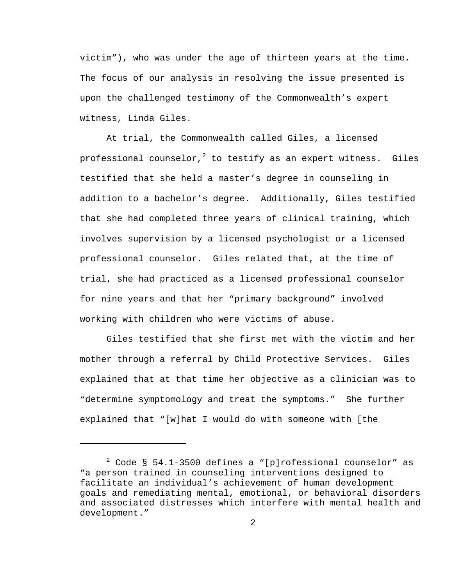victim"), who was under the age of thirteen years at the time. The focus of our analysis in resolving the issue presented is upon the challenged testimony of the Commonwealth's expert witness, Linda Giles.

 At trial, the Commonwealth called Giles, a licensed professional counselor, $^2$  to testify as an expert witness. Giles testified that she held a master's degree in counseling in addition to a bachelor's degree. Additionally, Giles testified that she had completed three years of clinical training, which involves supervision by a licensed psychologist or a licensed professional counselor. Giles related that, at the time of trial, she had practiced as a licensed professional counselor for nine years and that her "primary background" involved working with children who were victims of abuse.

 Giles testified that she first met with the victim and her mother through a referral by Child Protective Services. Giles explained that at that time her objective as a clinician was to "determine symptomology and treat the symptoms." She further explained that "[w]hat I would do with someone with [the

i

 $2$  Code § 54.1-3500 defines a "[p]rofessional counselor" as "a person trained in counseling interventions designed to facilitate an individual's achievement of human development goals and remediating mental, emotional, or behavioral disorders and associated distresses which interfere with mental health and development."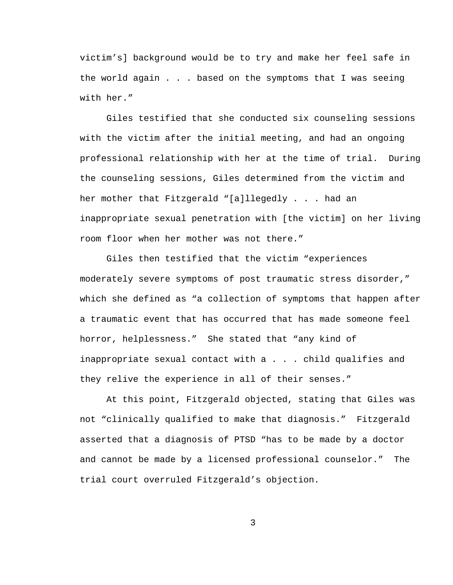victim's] background would be to try and make her feel safe in the world again . . . based on the symptoms that I was seeing with her."

 Giles testified that she conducted six counseling sessions with the victim after the initial meeting, and had an ongoing professional relationship with her at the time of trial. During the counseling sessions, Giles determined from the victim and her mother that Fitzgerald "[a]llegedly . . . had an inappropriate sexual penetration with [the victim] on her living room floor when her mother was not there."

 Giles then testified that the victim "experiences moderately severe symptoms of post traumatic stress disorder," which she defined as "a collection of symptoms that happen after a traumatic event that has occurred that has made someone feel horror, helplessness." She stated that "any kind of inappropriate sexual contact with a . . . child qualifies and they relive the experience in all of their senses."

 At this point, Fitzgerald objected, stating that Giles was not "clinically qualified to make that diagnosis." Fitzgerald asserted that a diagnosis of PTSD "has to be made by a doctor and cannot be made by a licensed professional counselor." The trial court overruled Fitzgerald's objection.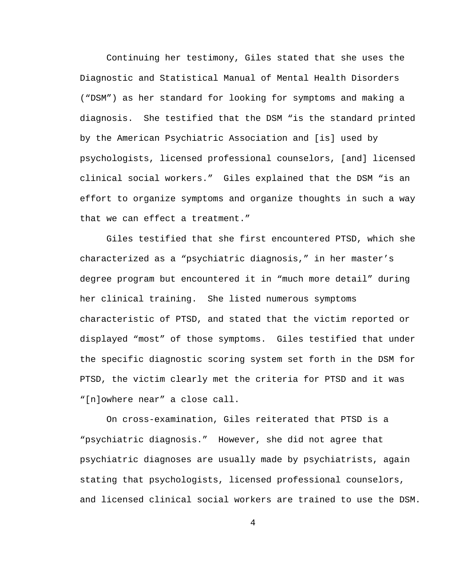Continuing her testimony, Giles stated that she uses the Diagnostic and Statistical Manual of Mental Health Disorders ("DSM") as her standard for looking for symptoms and making a diagnosis. She testified that the DSM "is the standard printed by the American Psychiatric Association and [is] used by psychologists, licensed professional counselors, [and] licensed clinical social workers." Giles explained that the DSM "is an effort to organize symptoms and organize thoughts in such a way that we can effect a treatment."

 Giles testified that she first encountered PTSD, which she characterized as a "psychiatric diagnosis," in her master's degree program but encountered it in "much more detail" during her clinical training. She listed numerous symptoms characteristic of PTSD, and stated that the victim reported or displayed "most" of those symptoms. Giles testified that under the specific diagnostic scoring system set forth in the DSM for PTSD, the victim clearly met the criteria for PTSD and it was "[n]owhere near" a close call.

 On cross-examination, Giles reiterated that PTSD is a "psychiatric diagnosis." However, she did not agree that psychiatric diagnoses are usually made by psychiatrists, again stating that psychologists, licensed professional counselors, and licensed clinical social workers are trained to use the DSM.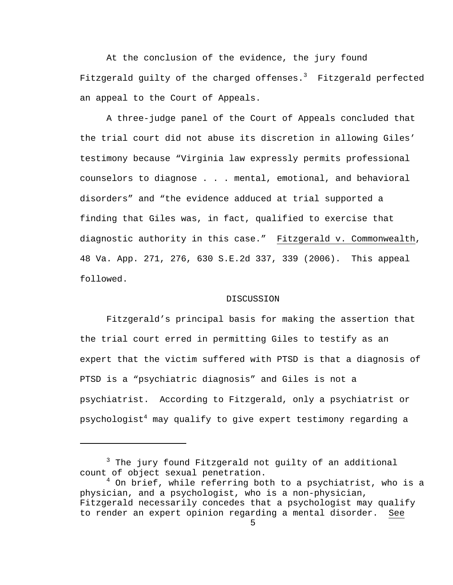At the conclusion of the evidence, the jury found Fitzgerald guilty of the charged offenses. $^3$  Fitzgerald perfected an appeal to the Court of Appeals.

 A three-judge panel of the Court of Appeals concluded that the trial court did not abuse its discretion in allowing Giles' testimony because "Virginia law expressly permits professional counselors to diagnose . . . mental, emotional, and behavioral disorders" and "the evidence adduced at trial supported a finding that Giles was, in fact, qualified to exercise that diagnostic authority in this case." Fitzgerald v. Commonwealth, 48 Va. App. 271, 276, 630 S.E.2d 337, 339 (2006). This appeal followed.

#### DISCUSSION

 Fitzgerald's principal basis for making the assertion that the trial court erred in permitting Giles to testify as an expert that the victim suffered with PTSD is that a diagnosis of PTSD is a "psychiatric diagnosis" and Giles is not a psychiatrist. According to Fitzgerald, only a psychiatrist or psychologist $^4$  may qualify to give expert testimony regarding a

i

<sup>&</sup>lt;sup>3</sup> The jury found Fitzgerald not guilty of an additional count of object sexual penetration.

<sup>&</sup>lt;sup>4</sup> On brief, while referring both to a psychiatrist, who is a physician, and a psychologist, who is a non-physician, Fitzgerald necessarily concedes that a psychologist may qualify to render an expert opinion regarding a mental disorder. See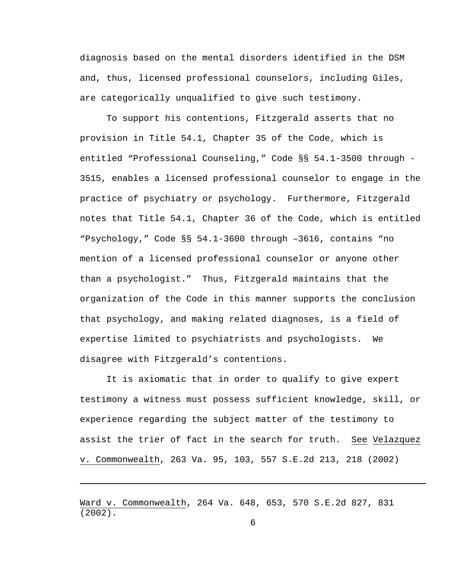diagnosis based on the mental disorders identified in the DSM and, thus, licensed professional counselors, including Giles, are categorically unqualified to give such testimony.

 To support his contentions, Fitzgerald asserts that no provision in Title 54.1, Chapter 35 of the Code, which is entitled "Professional Counseling," Code §§ 54.1-3500 through - 3515, enables a licensed professional counselor to engage in the practice of psychiatry or psychology. Furthermore, Fitzgerald notes that Title 54.1, Chapter 36 of the Code, which is entitled "Psychology," Code §§ 54.1-3600 through –3616, contains "no mention of a licensed professional counselor or anyone other than a psychologist." Thus, Fitzgerald maintains that the organization of the Code in this manner supports the conclusion that psychology, and making related diagnoses, is a field of expertise limited to psychiatrists and psychologists. We disagree with Fitzgerald's contentions.

 It is axiomatic that in order to qualify to give expert testimony a witness must possess sufficient knowledge, skill, or experience regarding the subject matter of the testimony to assist the trier of fact in the search for truth. See Velazquez v. Commonwealth, 263 Va. 95, 103, 557 S.E.2d 213, 218 (2002)

i

Ward v. Commonwealth, 264 Va. 648, 653, 570 S.E.2d 827, 831 (2002).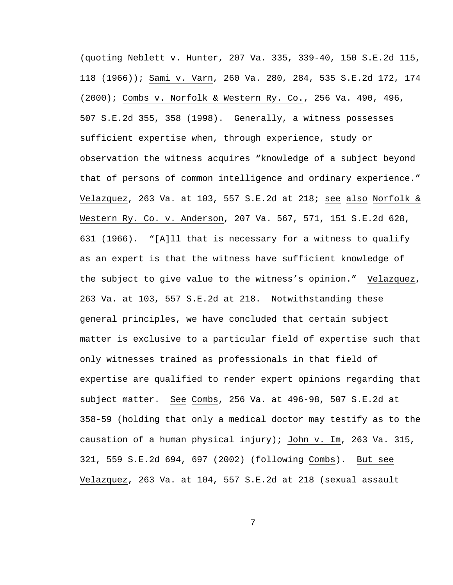(quoting Neblett v. Hunter, 207 Va. 335, 339-40, 150 S.E.2d 115, 118 (1966)); Sami v. Varn, 260 Va. 280, 284, 535 S.E.2d 172, 174 (2000); Combs v. Norfolk & Western Ry. Co., 256 Va. 490, 496, 507 S.E.2d 355, 358 (1998). Generally, a witness possesses sufficient expertise when, through experience, study or observation the witness acquires "knowledge of a subject beyond that of persons of common intelligence and ordinary experience." Velazquez, 263 Va. at 103, 557 S.E.2d at 218; see also Norfolk & Western Ry. Co. v. Anderson, 207 Va. 567, 571, 151 S.E.2d 628, 631 (1966). "[A]ll that is necessary for a witness to qualify as an expert is that the witness have sufficient knowledge of the subject to give value to the witness's opinion." Velazquez, 263 Va. at 103, 557 S.E.2d at 218. Notwithstanding these general principles, we have concluded that certain subject matter is exclusive to a particular field of expertise such that only witnesses trained as professionals in that field of expertise are qualified to render expert opinions regarding that subject matter. See Combs, 256 Va. at 496-98, 507 S.E.2d at 358-59 (holding that only a medical doctor may testify as to the causation of a human physical injury); John v. Im, 263 Va. 315, 321, 559 S.E.2d 694, 697 (2002) (following Combs). But see Velazquez, 263 Va. at 104, 557 S.E.2d at 218 (sexual assault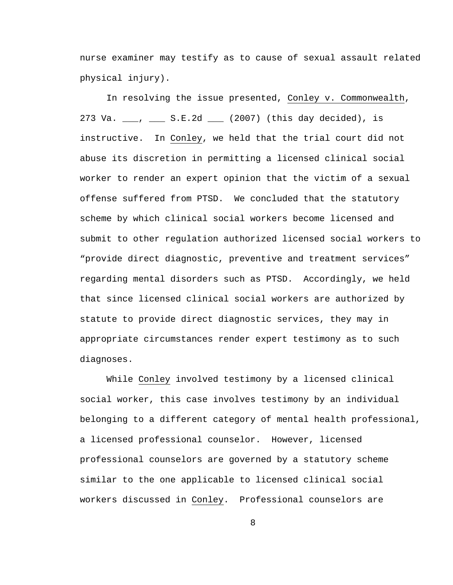nurse examiner may testify as to cause of sexual assault related physical injury).

 In resolving the issue presented, Conley v. Commonwealth, 273 Va. \_\_\_, \_\_\_ S.E.2d \_\_\_ (2007) (this day decided), is instructive. In Conley, we held that the trial court did not abuse its discretion in permitting a licensed clinical social worker to render an expert opinion that the victim of a sexual offense suffered from PTSD. We concluded that the statutory scheme by which clinical social workers become licensed and submit to other regulation authorized licensed social workers to "provide direct diagnostic, preventive and treatment services" regarding mental disorders such as PTSD. Accordingly, we held that since licensed clinical social workers are authorized by statute to provide direct diagnostic services, they may in appropriate circumstances render expert testimony as to such diagnoses.

 While Conley involved testimony by a licensed clinical social worker, this case involves testimony by an individual belonging to a different category of mental health professional, a licensed professional counselor. However, licensed professional counselors are governed by a statutory scheme similar to the one applicable to licensed clinical social workers discussed in Conley. Professional counselors are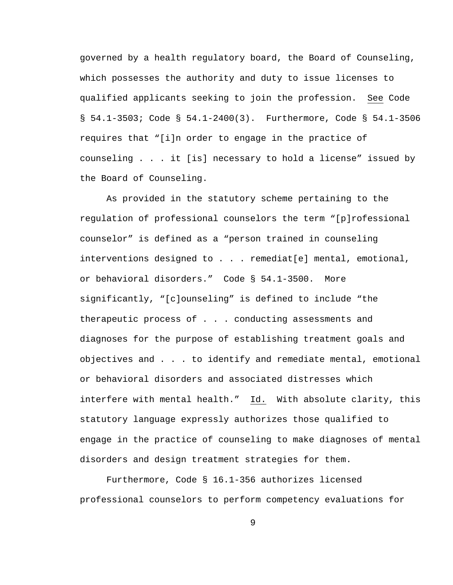governed by a health regulatory board, the Board of Counseling, which possesses the authority and duty to issue licenses to qualified applicants seeking to join the profession. See Code § 54.1-3503; Code § 54.1-2400(3). Furthermore, Code § 54.1-3506 requires that "[i]n order to engage in the practice of counseling . . . it [is] necessary to hold a license" issued by the Board of Counseling.

 As provided in the statutory scheme pertaining to the regulation of professional counselors the term "[p]rofessional counselor" is defined as a "person trained in counseling interventions designed to . . . remediat[e] mental, emotional, or behavioral disorders." Code § 54.1-3500. More significantly, "[c]ounseling" is defined to include "the therapeutic process of . . . conducting assessments and diagnoses for the purpose of establishing treatment goals and objectives and . . . to identify and remediate mental, emotional or behavioral disorders and associated distresses which interfere with mental health." Id. With absolute clarity, this statutory language expressly authorizes those qualified to engage in the practice of counseling to make diagnoses of mental disorders and design treatment strategies for them.

 Furthermore, Code § 16.1-356 authorizes licensed professional counselors to perform competency evaluations for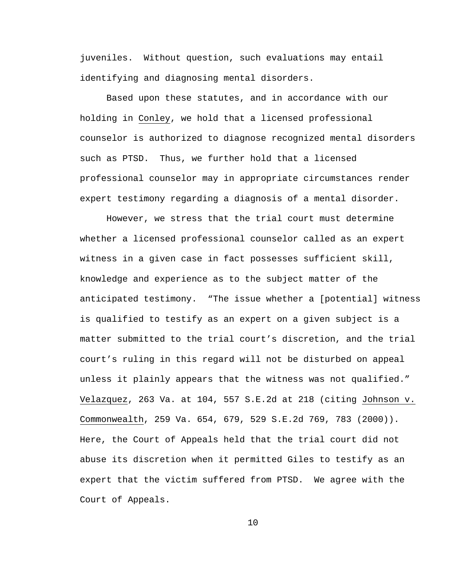juveniles. Without question, such evaluations may entail identifying and diagnosing mental disorders.

 Based upon these statutes, and in accordance with our holding in Conley, we hold that a licensed professional counselor is authorized to diagnose recognized mental disorders such as PTSD. Thus, we further hold that a licensed professional counselor may in appropriate circumstances render expert testimony regarding a diagnosis of a mental disorder.

 However, we stress that the trial court must determine whether a licensed professional counselor called as an expert witness in a given case in fact possesses sufficient skill, knowledge and experience as to the subject matter of the anticipated testimony. "The issue whether a [potential] witness is qualified to testify as an expert on a given subject is a matter submitted to the trial court's discretion, and the trial court's ruling in this regard will not be disturbed on appeal unless it plainly appears that the witness was not qualified." Velazquez, 263 Va. at 104, 557 S.E.2d at 218 (citing Johnson v. Commonwealth, 259 Va. 654, 679, 529 S.E.2d 769, 783 (2000)). Here, the Court of Appeals held that the trial court did not abuse its discretion when it permitted Giles to testify as an expert that the victim suffered from PTSD. We agree with the Court of Appeals.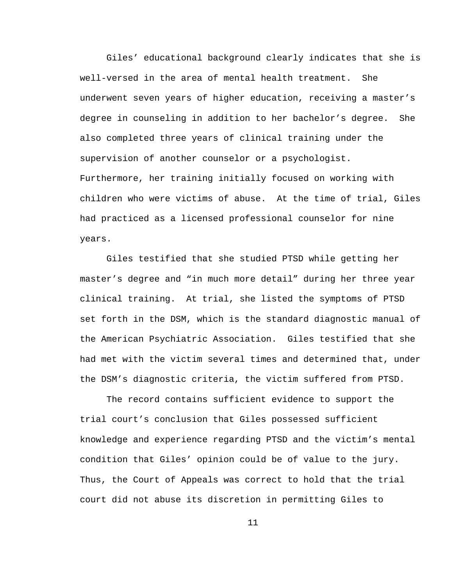Giles' educational background clearly indicates that she is well-versed in the area of mental health treatment. She underwent seven years of higher education, receiving a master's degree in counseling in addition to her bachelor's degree. She also completed three years of clinical training under the supervision of another counselor or a psychologist. Furthermore, her training initially focused on working with children who were victims of abuse. At the time of trial, Giles had practiced as a licensed professional counselor for nine years.

 Giles testified that she studied PTSD while getting her master's degree and "in much more detail" during her three year clinical training. At trial, she listed the symptoms of PTSD set forth in the DSM, which is the standard diagnostic manual of the American Psychiatric Association. Giles testified that she had met with the victim several times and determined that, under the DSM's diagnostic criteria, the victim suffered from PTSD.

 The record contains sufficient evidence to support the trial court's conclusion that Giles possessed sufficient knowledge and experience regarding PTSD and the victim's mental condition that Giles' opinion could be of value to the jury. Thus, the Court of Appeals was correct to hold that the trial court did not abuse its discretion in permitting Giles to